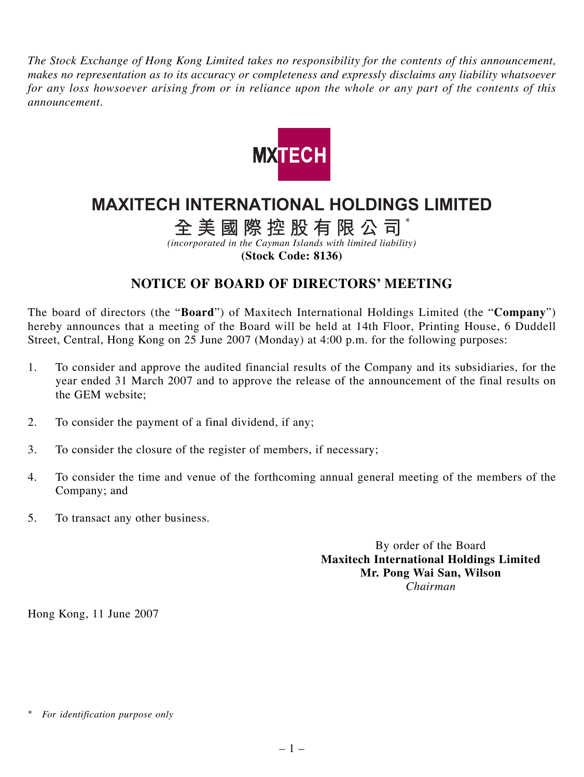*The Stock Exchange of Hong Kong Limited takes no responsibility for the contents of this announcement, makes no representation as to its accuracy or completeness and expressly disclaims any liability whatsoever for any loss howsoever arising from or in reliance upon the whole or any part of the contents of this announcement.*



## **MAXITECH INTERNATIONAL HOLDINGS LIMITED**

**全美國際控股有限公司** \*

*(incorporated in the Cayman Islands with limited liability)*

**(Stock Code: 8136)**

## **NOTICE OF BOARD OF DIRECTORS' MEETING**

The board of directors (the "**Board**") of Maxitech International Holdings Limited (the "**Company**") hereby announces that a meeting of the Board will be held at 14th Floor, Printing House, 6 Duddell Street, Central, Hong Kong on 25 June 2007 (Monday) at 4:00 p.m. for the following purposes:

- 1. To consider and approve the audited financial results of the Company and its subsidiaries, for the year ended 31 March 2007 and to approve the release of the announcement of the final results on the GEM website;
- 2. To consider the payment of a final dividend, if any;
- 3. To consider the closure of the register of members, if necessary;
- 4. To consider the time and venue of the forthcoming annual general meeting of the members of the Company; and
- 5. To transact any other business.

By order of the Board **Maxitech International Holdings Limited Mr. Pong Wai San, Wilson** *Chairman*

Hong Kong, 11 June 2007

*<sup>\*</sup> For identification purpose only*